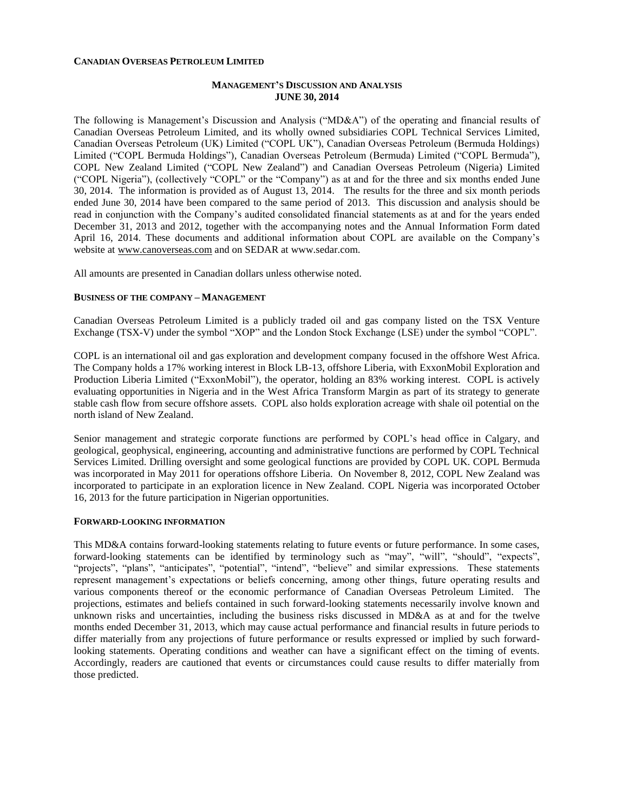#### **CANADIAN OVERSEAS PETROLEUM LIMITED**

## **MANAGEMENT'S DISCUSSION AND ANALYSIS JUNE 30, 2014**

The following is Management's Discussion and Analysis ("MD&A") of the operating and financial results of Canadian Overseas Petroleum Limited, and its wholly owned subsidiaries COPL Technical Services Limited, Canadian Overseas Petroleum (UK) Limited ("COPL UK"), Canadian Overseas Petroleum (Bermuda Holdings) Limited ("COPL Bermuda Holdings"), Canadian Overseas Petroleum (Bermuda) Limited ("COPL Bermuda"), COPL New Zealand Limited ("COPL New Zealand") and Canadian Overseas Petroleum (Nigeria) Limited ("COPL Nigeria"), (collectively "COPL" or the "Company") as at and for the three and six months ended June 30, 2014. The information is provided as of August 13, 2014. The results for the three and six month periods ended June 30, 2014 have been compared to the same period of 2013. This discussion and analysis should be read in conjunction with the Company's audited consolidated financial statements as at and for the years ended December 31, 2013 and 2012, together with the accompanying notes and the Annual Information Form dated April 16, 2014. These documents and additional information about COPL are available on the Company's website at [www.canoverseas.com](http://www.canoverseas.com/) and on SEDAR at [www.sedar.com.](http://www.sedar.com/)

All amounts are presented in Canadian dollars unless otherwise noted.

#### **BUSINESS OF THE COMPANY – MANAGEMENT**

Canadian Overseas Petroleum Limited is a publicly traded oil and gas company listed on the TSX Venture Exchange (TSX-V) under the symbol "XOP" and the London Stock Exchange (LSE) under the symbol "COPL".

COPL is an international oil and gas exploration and development company focused in the offshore West Africa. The Company holds a 17% working interest in Block LB-13, offshore Liberia, with ExxonMobil Exploration and Production Liberia Limited ("ExxonMobil"), the operator, holding an 83% working interest. COPL is actively evaluating opportunities in Nigeria and in the West Africa Transform Margin as part of its strategy to generate stable cash flow from secure offshore assets. COPL also holds exploration acreage with shale oil potential on the north island of New Zealand.

Senior management and strategic corporate functions are performed by COPL's head office in Calgary, and geological, geophysical, engineering, accounting and administrative functions are performed by COPL Technical Services Limited. Drilling oversight and some geological functions are provided by COPL UK. COPL Bermuda was incorporated in May 2011 for operations offshore Liberia. On November 8, 2012, COPL New Zealand was incorporated to participate in an exploration licence in New Zealand. COPL Nigeria was incorporated October 16, 2013 for the future participation in Nigerian opportunities.

#### **FORWARD-LOOKING INFORMATION**

This MD&A contains forward-looking statements relating to future events or future performance. In some cases, forward-looking statements can be identified by terminology such as "may", "will", "should", "expects", "projects", "plans", "anticipates", "potential", "intend", "believe" and similar expressions. These statements represent management's expectations or beliefs concerning, among other things, future operating results and various components thereof or the economic performance of Canadian Overseas Petroleum Limited. The projections, estimates and beliefs contained in such forward-looking statements necessarily involve known and unknown risks and uncertainties, including the business risks discussed in MD&A as at and for the twelve months ended December 31, 2013, which may cause actual performance and financial results in future periods to differ materially from any projections of future performance or results expressed or implied by such forwardlooking statements. Operating conditions and weather can have a significant effect on the timing of events. Accordingly, readers are cautioned that events or circumstances could cause results to differ materially from those predicted.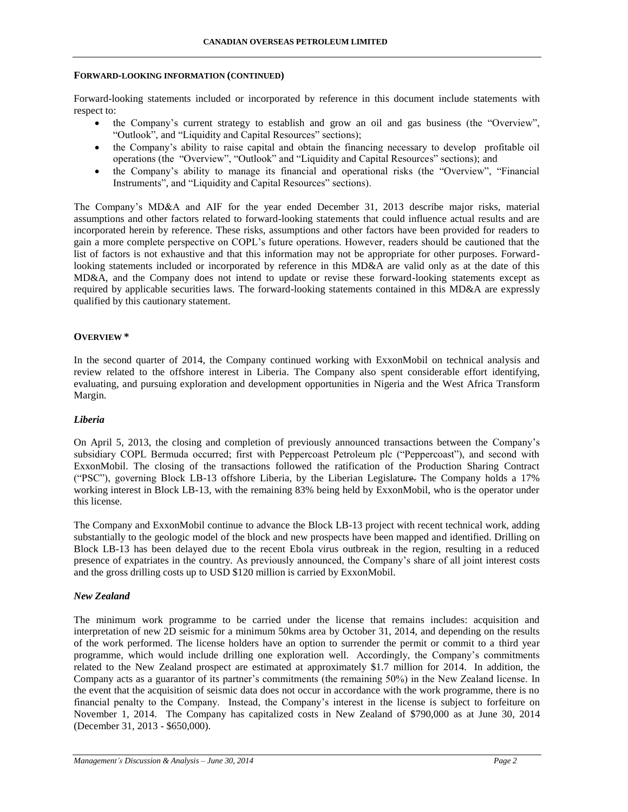#### **FORWARD-LOOKING INFORMATION (CONTINUED)**

Forward-looking statements included or incorporated by reference in this document include statements with respect to:

- the Company's current strategy to establish and grow an oil and gas business (the "Overview", "Outlook", and "Liquidity and Capital Resources" sections);
- the Company's ability to raise capital and obtain the financing necessary to develop profitable oil operations (the "Overview", "Outlook" and "Liquidity and Capital Resources" sections); and
- the Company's ability to manage its financial and operational risks (the "Overview", "Financial Instruments", and "Liquidity and Capital Resources" sections).

The Company's MD&A and AIF for the year ended December 31, 2013 describe major risks, material assumptions and other factors related to forward-looking statements that could influence actual results and are incorporated herein by reference. These risks, assumptions and other factors have been provided for readers to gain a more complete perspective on COPL's future operations. However, readers should be cautioned that the list of factors is not exhaustive and that this information may not be appropriate for other purposes. Forwardlooking statements included or incorporated by reference in this MD&A are valid only as at the date of this MD&A, and the Company does not intend to update or revise these forward-looking statements except as required by applicable securities laws. The forward-looking statements contained in this MD&A are expressly qualified by this cautionary statement.

## **OVERVIEW \***

In the second quarter of 2014, the Company continued working with ExxonMobil on technical analysis and review related to the offshore interest in Liberia. The Company also spent considerable effort identifying, evaluating, and pursuing exploration and development opportunities in Nigeria and the West Africa Transform Margin.

## *Liberia*

On April 5, 2013, the closing and completion of previously announced transactions between the Company's subsidiary COPL Bermuda occurred; first with Peppercoast Petroleum plc ("Peppercoast"), and second with ExxonMobil. The closing of the transactions followed the ratification of the Production Sharing Contract ("PSC"), governing Block LB-13 offshore Liberia, by the Liberian Legislature. The Company holds a 17% working interest in Block LB-13, with the remaining 83% being held by ExxonMobil, who is the operator under this license.

The Company and ExxonMobil continue to advance the Block LB-13 project with recent technical work, adding substantially to the geologic model of the block and new prospects have been mapped and identified. Drilling on Block LB-13 has been delayed due to the recent Ebola virus outbreak in the region, resulting in a reduced presence of expatriates in the country. As previously announced, the Company's share of all joint interest costs and the gross drilling costs up to USD \$120 million is carried by ExxonMobil.

## *New Zealand*

The minimum work programme to be carried under the license that remains includes: acquisition and interpretation of new 2D seismic for a minimum 50kms area by October 31, 2014, and depending on the results of the work performed. The license holders have an option to surrender the permit or commit to a third year programme, which would include drilling one exploration well. Accordingly, the Company's commitments related to the New Zealand prospect are estimated at approximately \$1.7 million for 2014. In addition, the Company acts as a guarantor of its partner's commitments (the remaining 50%) in the New Zealand license. In the event that the acquisition of seismic data does not occur in accordance with the work programme, there is no financial penalty to the Company. Instead, the Company's interest in the license is subject to forfeiture on November 1, 2014. The Company has capitalized costs in New Zealand of \$790,000 as at June 30, 2014 (December 31, 2013 - \$650,000).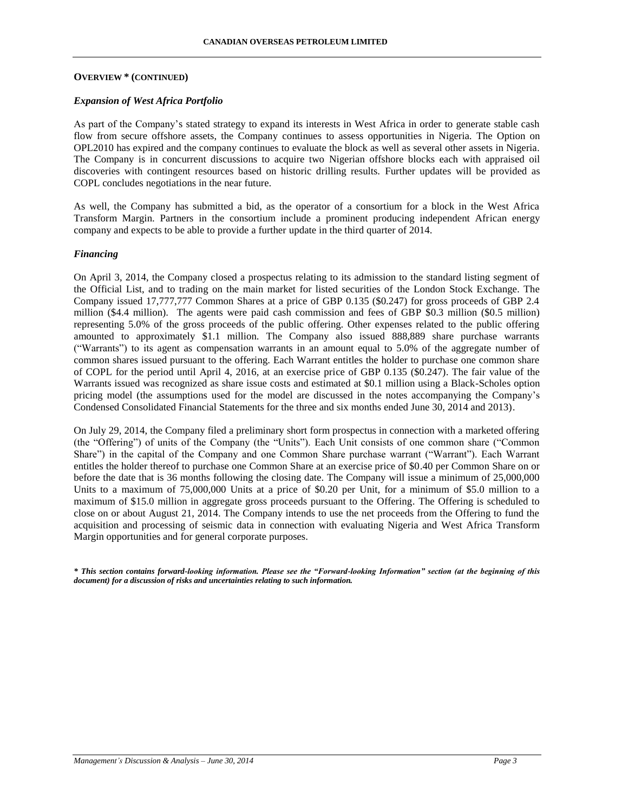#### **OVERVIEW \* (CONTINUED)**

## *Expansion of West Africa Portfolio*

As part of the Company's stated strategy to expand its interests in West Africa in order to generate stable cash flow from secure offshore assets, the Company continues to assess opportunities in Nigeria. The Option on OPL2010 has expired and the company continues to evaluate the block as well as several other assets in Nigeria. The Company is in concurrent discussions to acquire two Nigerian offshore blocks each with appraised oil discoveries with contingent resources based on historic drilling results. Further updates will be provided as COPL concludes negotiations in the near future.

As well, the Company has submitted a bid, as the operator of a consortium for a block in the West Africa Transform Margin. Partners in the consortium include a prominent producing independent African energy company and expects to be able to provide a further update in the third quarter of 2014.

#### *Financing*

On April 3, 2014, the Company closed a prospectus relating to its admission to the standard listing segment of the Official List, and to trading on the main market for listed securities of the London Stock Exchange. The Company issued 17,777,777 Common Shares at a price of GBP 0.135 (\$0.247) for gross proceeds of GBP 2.4 million (\$4.4 million). The agents were paid cash commission and fees of GBP \$0.3 million (\$0.5 million) representing 5.0% of the gross proceeds of the public offering. Other expenses related to the public offering amounted to approximately \$1.1 million. The Company also issued 888,889 share purchase warrants ("Warrants") to its agent as compensation warrants in an amount equal to 5.0% of the aggregate number of common shares issued pursuant to the offering. Each Warrant entitles the holder to purchase one common share of COPL for the period until April 4, 2016, at an exercise price of GBP 0.135 (\$0.247). The fair value of the Warrants issued was recognized as share issue costs and estimated at \$0.1 million using a Black-Scholes option pricing model (the assumptions used for the model are discussed in the notes accompanying the Company's Condensed Consolidated Financial Statements for the three and six months ended June 30, 2014 and 2013).

On July 29, 2014, the Company filed a preliminary short form prospectus in connection with a marketed offering (the "Offering") of units of the Company (the "Units"). Each Unit consists of one common share ("Common Share") in the capital of the Company and one Common Share purchase warrant ("Warrant"). Each Warrant entitles the holder thereof to purchase one Common Share at an exercise price of \$0.40 per Common Share on or before the date that is 36 months following the closing date. The Company will issue a minimum of 25,000,000 Units to a maximum of 75,000,000 Units at a price of \$0.20 per Unit, for a minimum of \$5.0 million to a maximum of \$15.0 million in aggregate gross proceeds pursuant to the Offering. The Offering is scheduled to close on or about August 21, 2014. The Company intends to use the net proceeds from the Offering to fund the acquisition and processing of seismic data in connection with evaluating Nigeria and West Africa Transform Margin opportunities and for general corporate purposes.

*\* This section contains forward-looking information. Please see the "Forward-looking Information" section (at the beginning of this document) for a discussion of risks and uncertainties relating to such information.*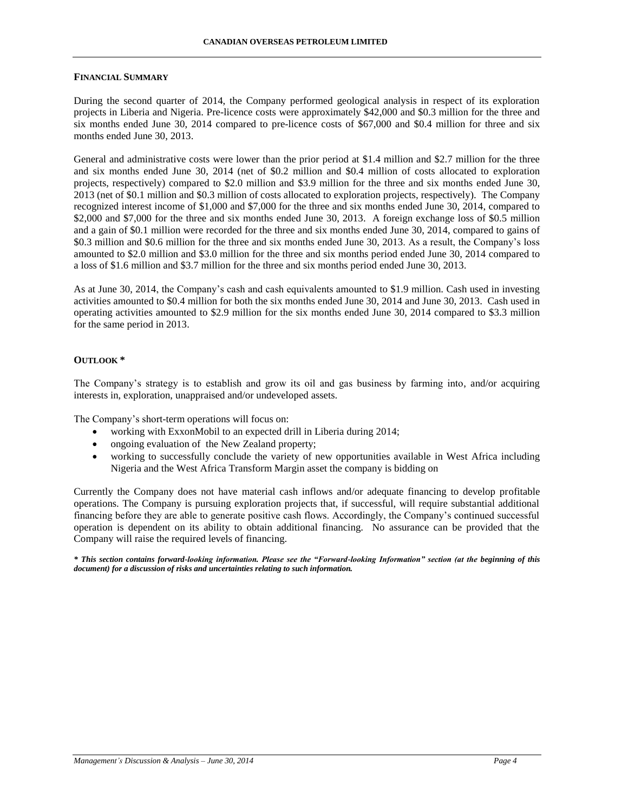#### **FINANCIAL SUMMARY**

During the second quarter of 2014, the Company performed geological analysis in respect of its exploration projects in Liberia and Nigeria. Pre-licence costs were approximately \$42,000 and \$0.3 million for the three and six months ended June 30, 2014 compared to pre-licence costs of \$67,000 and \$0.4 million for three and six months ended June 30, 2013.

General and administrative costs were lower than the prior period at \$1.4 million and \$2.7 million for the three and six months ended June 30, 2014 (net of \$0.2 million and \$0.4 million of costs allocated to exploration projects, respectively) compared to \$2.0 million and \$3.9 million for the three and six months ended June 30, 2013 (net of \$0.1 million and \$0.3 million of costs allocated to exploration projects, respectively). The Company recognized interest income of \$1,000 and \$7,000 for the three and six months ended June 30, 2014, compared to \$2,000 and \$7,000 for the three and six months ended June 30, 2013. A foreign exchange loss of \$0.5 million and a gain of \$0.1 million were recorded for the three and six months ended June 30, 2014, compared to gains of \$0.3 million and \$0.6 million for the three and six months ended June 30, 2013. As a result, the Company's loss amounted to \$2.0 million and \$3.0 million for the three and six months period ended June 30, 2014 compared to a loss of \$1.6 million and \$3.7 million for the three and six months period ended June 30, 2013.

As at June 30, 2014, the Company's cash and cash equivalents amounted to \$1.9 million. Cash used in investing activities amounted to \$0.4 million for both the six months ended June 30, 2014 and June 30, 2013. Cash used in operating activities amounted to \$2.9 million for the six months ended June 30, 2014 compared to \$3.3 million for the same period in 2013.

## **OUTLOOK \***

The Company's strategy is to establish and grow its oil and gas business by farming into, and/or acquiring interests in, exploration, unappraised and/or undeveloped assets.

The Company's short-term operations will focus on:

- working with ExxonMobil to an expected drill in Liberia during 2014;
- ongoing evaluation of the New Zealand property;
- working to successfully conclude the variety of new opportunities available in West Africa including Nigeria and the West Africa Transform Margin asset the company is bidding on

Currently the Company does not have material cash inflows and/or adequate financing to develop profitable operations. The Company is pursuing exploration projects that, if successful, will require substantial additional financing before they are able to generate positive cash flows. Accordingly, the Company's continued successful operation is dependent on its ability to obtain additional financing. No assurance can be provided that the Company will raise the required levels of financing.

*\* This section contains forward-looking information. Please see the "Forward-looking Information" section (at the beginning of this document) for a discussion of risks and uncertainties relating to such information.*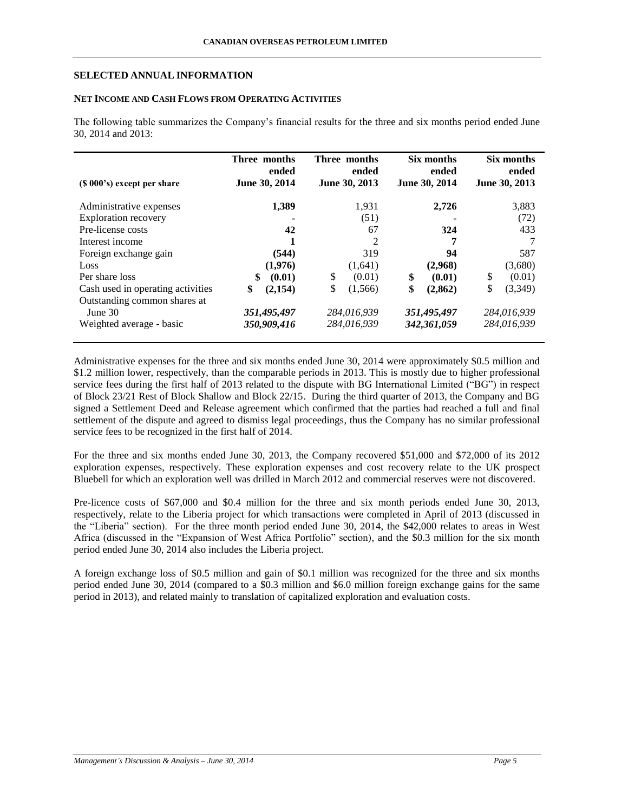## **SELECTED ANNUAL INFORMATION**

## **NET INCOME AND CASH FLOWS FROM OPERATING ACTIVITIES**

The following table summarizes the Company's financial results for the three and six months period ended June 30, 2014 and 2013:

| (\$ 000's) except per share       | Three months<br>ended<br>June 30, 2014 | Three months<br>ended<br>June 30, 2013 | Six months<br>ended<br>June 30, 2014 | Six months<br>ended<br>June 30, 2013 |
|-----------------------------------|----------------------------------------|----------------------------------------|--------------------------------------|--------------------------------------|
| Administrative expenses           | 1,389                                  | 1,931                                  | 2,726                                | 3,883                                |
| <b>Exploration recovery</b>       |                                        | (51)                                   |                                      | (72)                                 |
| Pre-license costs                 | 42                                     | 67                                     | 324                                  | 433                                  |
| Interest income                   |                                        | 2                                      | 7                                    |                                      |
| Foreign exchange gain             | (544)                                  | 319                                    | 94                                   | 587                                  |
| Loss                              | (1,976)                                | (1,641)                                | (2,968)                              | (3,680)                              |
| Per share loss                    | \$<br>(0.01)                           | \$<br>(0.01)                           | \$<br>(0.01)                         | \$<br>(0.01)                         |
| Cash used in operating activities | \$<br>(2,154)                          | \$<br>(1,566)                          | \$<br>(2,862)                        | \$<br>(3,349)                        |
| Outstanding common shares at      |                                        |                                        |                                      |                                      |
| June $30$                         | 351,495,497                            | 284,016,939                            | 351,495,497                          | 284,016,939                          |
| Weighted average - basic          | 350,909,416                            | 284,016,939                            | 342,361,059                          | 284,016,939                          |

Administrative expenses for the three and six months ended June 30, 2014 were approximately \$0.5 million and \$1.2 million lower, respectively, than the comparable periods in 2013. This is mostly due to higher professional service fees during the first half of 2013 related to the dispute with BG International Limited ("BG") in respect of Block 23/21 Rest of Block Shallow and Block 22/15. During the third quarter of 2013, the Company and BG signed a Settlement Deed and Release agreement which confirmed that the parties had reached a full and final settlement of the dispute and agreed to dismiss legal proceedings, thus the Company has no similar professional service fees to be recognized in the first half of 2014.

For the three and six months ended June 30, 2013, the Company recovered \$51,000 and \$72,000 of its 2012 exploration expenses, respectively. These exploration expenses and cost recovery relate to the UK prospect Bluebell for which an exploration well was drilled in March 2012 and commercial reserves were not discovered.

Pre-licence costs of \$67,000 and \$0.4 million for the three and six month periods ended June 30, 2013, respectively, relate to the Liberia project for which transactions were completed in April of 2013 (discussed in the "Liberia" section). For the three month period ended June 30, 2014, the \$42,000 relates to areas in West Africa (discussed in the "Expansion of West Africa Portfolio" section), and the \$0.3 million for the six month period ended June 30, 2014 also includes the Liberia project.

A foreign exchange loss of \$0.5 million and gain of \$0.1 million was recognized for the three and six months period ended June 30, 2014 (compared to a \$0.3 million and \$6.0 million foreign exchange gains for the same period in 2013), and related mainly to translation of capitalized exploration and evaluation costs.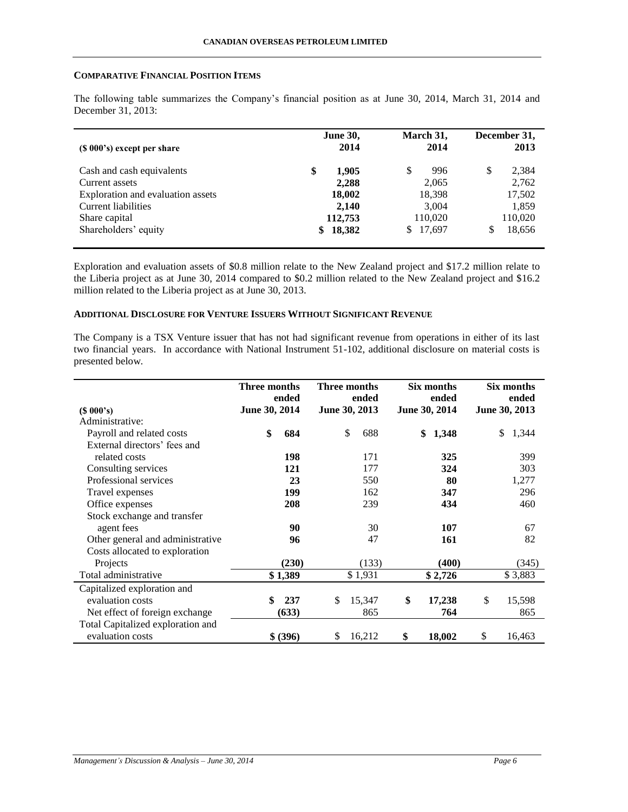## **COMPARATIVE FINANCIAL POSITION ITEMS**

The following table summarizes the Company's financial position as at June 30, 2014, March 31, 2014 and December 31, 2013:

| $(S 000's)$ except per share      | <b>June 30,</b><br>2014 | March 31,<br>2014 | December 31,<br>2013 |
|-----------------------------------|-------------------------|-------------------|----------------------|
| Cash and cash equivalents         | \$<br>1,905             | 996<br>S          | \$<br>2,384          |
| Current assets                    | 2,288                   | 2,065             | 2,762                |
| Exploration and evaluation assets | 18,002                  | 18,398            | 17,502               |
| Current liabilities               | 2,140                   | 3,004             | 1,859                |
| Share capital                     | 112,753                 | 110,020           | 110,020              |
| Shareholders' equity              | 18,382<br>\$            | 17,697<br>S.      | 18,656               |

Exploration and evaluation assets of \$0.8 million relate to the New Zealand project and \$17.2 million relate to the Liberia project as at June 30, 2014 compared to \$0.2 million related to the New Zealand project and \$16.2 million related to the Liberia project as at June 30, 2013.

## **ADDITIONAL DISCLOSURE FOR VENTURE ISSUERS WITHOUT SIGNIFICANT REVENUE**

The Company is a TSX Venture issuer that has not had significant revenue from operations in either of its last two financial years. In accordance with National Instrument 51-102, additional disclosure on material costs is presented below.

|                                   | Three months<br>ended | Three months<br>ended | Six months<br>ended | Six months<br>ended |
|-----------------------------------|-----------------------|-----------------------|---------------------|---------------------|
| (\$000's)                         | June 30, 2014         | June 30, 2013         | June 30, 2014       | June 30, 2013       |
| Administrative:                   |                       |                       |                     |                     |
| Payroll and related costs         | \$<br>684             | \$<br>688             | \$<br>1,348         | 1,344<br>\$         |
| External directors' fees and      |                       |                       |                     |                     |
| related costs                     | 198                   | 171                   | 325                 | 399                 |
| Consulting services               | 121                   | 177                   | 324                 | 303                 |
| Professional services             | 23                    | 550                   | 80                  | 1,277               |
| Travel expenses                   | 199                   | 162                   | 347                 | 296                 |
| Office expenses                   | 208                   | 239                   | 434                 | 460                 |
| Stock exchange and transfer       |                       |                       |                     |                     |
| agent fees                        | 90                    | 30                    | 107                 | 67                  |
| Other general and administrative  | 96                    | 47                    | 161                 | 82                  |
| Costs allocated to exploration    |                       |                       |                     |                     |
| Projects                          | (230)                 | (133)                 | (400)               | (345)               |
| Total administrative              | \$1,389               | \$1,931               | \$2,726             | \$3,883             |
| Capitalized exploration and       |                       |                       |                     |                     |
| evaluation costs                  | \$<br>237             | \$<br>15,347          | \$<br>17,238        | \$<br>15,598        |
| Net effect of foreign exchange    | (633)                 | 865                   | 764                 | 865                 |
| Total Capitalized exploration and |                       |                       |                     |                     |
| evaluation costs                  | \$ (396)              | 16,212<br>\$          | \$<br>18,002        | \$<br>16,463        |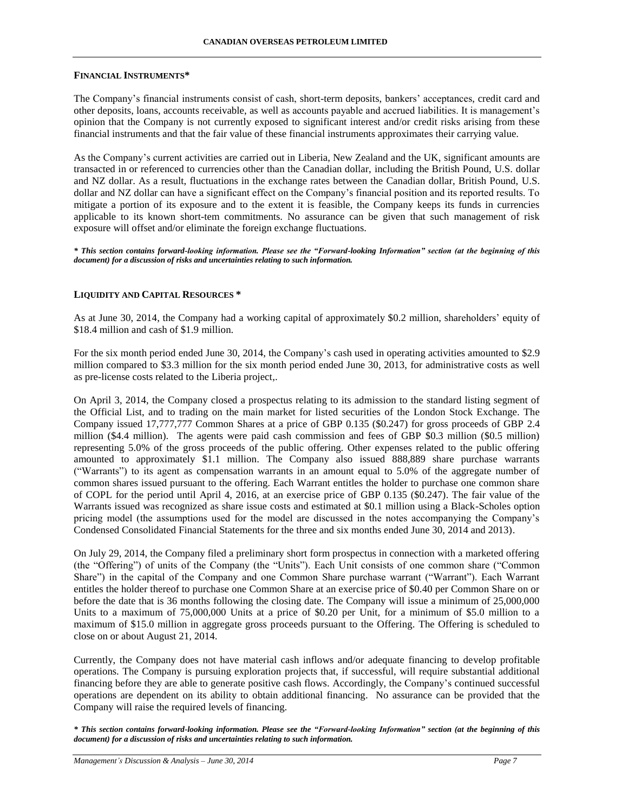## **FINANCIAL INSTRUMENTS\***

The Company's financial instruments consist of cash, short-term deposits, bankers' acceptances, credit card and other deposits, loans, accounts receivable, as well as accounts payable and accrued liabilities. It is management's opinion that the Company is not currently exposed to significant interest and/or credit risks arising from these financial instruments and that the fair value of these financial instruments approximates their carrying value.

As the Company's current activities are carried out in Liberia, New Zealand and the UK, significant amounts are transacted in or referenced to currencies other than the Canadian dollar, including the British Pound, U.S. dollar and NZ dollar. As a result, fluctuations in the exchange rates between the Canadian dollar, British Pound, U.S. dollar and NZ dollar can have a significant effect on the Company's financial position and its reported results. To mitigate a portion of its exposure and to the extent it is feasible, the Company keeps its funds in currencies applicable to its known short-tem commitments. No assurance can be given that such management of risk exposure will offset and/or eliminate the foreign exchange fluctuations.

*\* This section contains forward-looking information. Please see the "Forward-looking Information" section (at the beginning of this document) for a discussion of risks and uncertainties relating to such information.*

## **LIQUIDITY AND CAPITAL RESOURCES \***

As at June 30, 2014, the Company had a working capital of approximately \$0.2 million, shareholders' equity of \$18.4 million and cash of \$1.9 million.

For the six month period ended June 30, 2014, the Company's cash used in operating activities amounted to \$2.9 million compared to \$3.3 million for the six month period ended June 30, 2013, for administrative costs as well as pre-license costs related to the Liberia project,.

On April 3, 2014, the Company closed a prospectus relating to its admission to the standard listing segment of the Official List, and to trading on the main market for listed securities of the London Stock Exchange. The Company issued 17,777,777 Common Shares at a price of GBP 0.135 (\$0.247) for gross proceeds of GBP 2.4 million (\$4.4 million). The agents were paid cash commission and fees of GBP \$0.3 million (\$0.5 million) representing 5.0% of the gross proceeds of the public offering. Other expenses related to the public offering amounted to approximately \$1.1 million. The Company also issued 888,889 share purchase warrants ("Warrants") to its agent as compensation warrants in an amount equal to 5.0% of the aggregate number of common shares issued pursuant to the offering. Each Warrant entitles the holder to purchase one common share of COPL for the period until April 4, 2016, at an exercise price of GBP 0.135 (\$0.247). The fair value of the Warrants issued was recognized as share issue costs and estimated at \$0.1 million using a Black-Scholes option pricing model (the assumptions used for the model are discussed in the notes accompanying the Company's Condensed Consolidated Financial Statements for the three and six months ended June 30, 2014 and 2013).

On July 29, 2014, the Company filed a preliminary short form prospectus in connection with a marketed offering (the "Offering") of units of the Company (the "Units"). Each Unit consists of one common share ("Common Share") in the capital of the Company and one Common Share purchase warrant ("Warrant"). Each Warrant entitles the holder thereof to purchase one Common Share at an exercise price of \$0.40 per Common Share on or before the date that is 36 months following the closing date. The Company will issue a minimum of 25,000,000 Units to a maximum of 75,000,000 Units at a price of \$0.20 per Unit, for a minimum of \$5.0 million to a maximum of \$15.0 million in aggregate gross proceeds pursuant to the Offering. The Offering is scheduled to close on or about August 21, 2014.

Currently, the Company does not have material cash inflows and/or adequate financing to develop profitable operations. The Company is pursuing exploration projects that, if successful, will require substantial additional financing before they are able to generate positive cash flows. Accordingly, the Company's continued successful operations are dependent on its ability to obtain additional financing. No assurance can be provided that the Company will raise the required levels of financing.

*\* This section contains forward-looking information. Please see the "Forward-looking Information" section (at the beginning of this document) for a discussion of risks and uncertainties relating to such information.*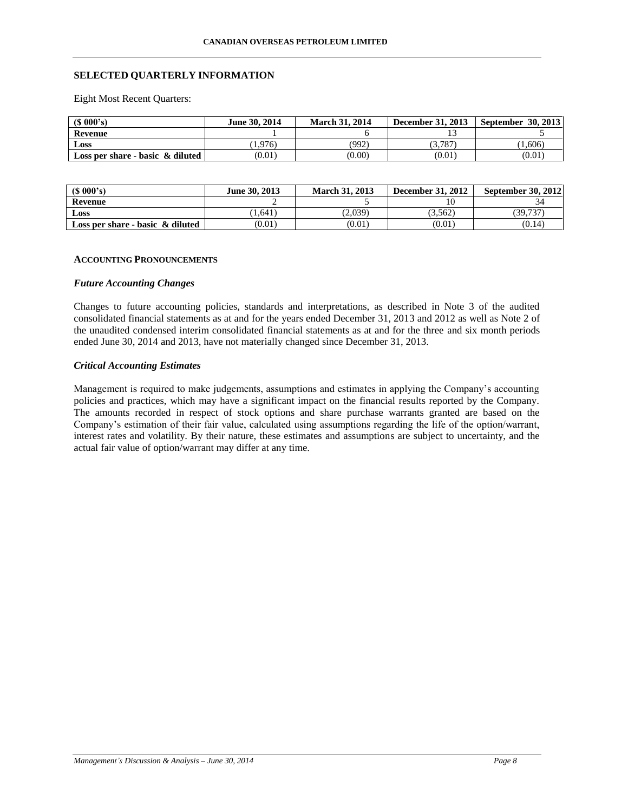## **SELECTED QUARTERLY INFORMATION**

Eight Most Recent Quarters:

| $(S\ 000's)$                        | June 30, 2014 | <b>March 31, 2014</b> | <b>December 31, 2013</b> | <b>September 30, 2013</b> |
|-------------------------------------|---------------|-----------------------|--------------------------|---------------------------|
| Revenue                             |               |                       |                          |                           |
| Loss                                | (1.976)       | (992)                 | 3.787                    | (1,606)                   |
| Loss per share - basic $\&$ diluted | (0.01)        | (0.00)                | (0.01)                   | (0.01)                    |

| (S 000's)                           | June 30, 2013 | <b>March 31, 2013</b> | <b>December 31, 2012</b> | September 30, 2012 |
|-------------------------------------|---------------|-----------------------|--------------------------|--------------------|
| <b>Revenue</b>                      |               |                       |                          |                    |
| Loss                                | 1.641         | 2.039                 | 3.562                    | 39.737             |
| Loss per share - basic $\&$ diluted | (0.01)        | (0.01)                | (0.01)                   | (0.14)             |

#### **ACCOUNTING PRONOUNCEMENTS**

#### *Future Accounting Changes*

Changes to future accounting policies, standards and interpretations, as described in Note 3 of the audited consolidated financial statements as at and for the years ended December 31, 2013 and 2012 as well as Note 2 of the unaudited condensed interim consolidated financial statements as at and for the three and six month periods ended June 30, 2014 and 2013, have not materially changed since December 31, 2013.

## *Critical Accounting Estimates*

Management is required to make judgements, assumptions and estimates in applying the Company's accounting policies and practices, which may have a significant impact on the financial results reported by the Company. The amounts recorded in respect of stock options and share purchase warrants granted are based on the Company's estimation of their fair value, calculated using assumptions regarding the life of the option/warrant, interest rates and volatility. By their nature, these estimates and assumptions are subject to uncertainty, and the actual fair value of option/warrant may differ at any time.